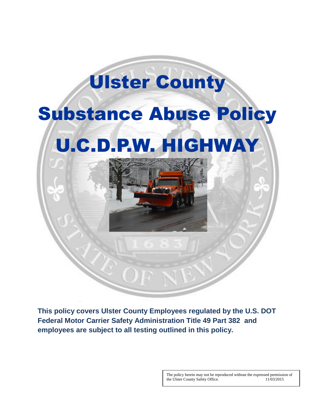# Substance Abuse Policy U.C.D.P.W. HIGHWAY

Ulster County



**This policy covers Ulster County Employees regulated by the U.S. DOT Federal Motor Carrier Safety Administration Title 49 Part 382 and employees are subject to all testing outlined in this policy.** 

> The policy herein may not be reproduced without the expressed permission of the Ulster County Safety Office. 11/03/2015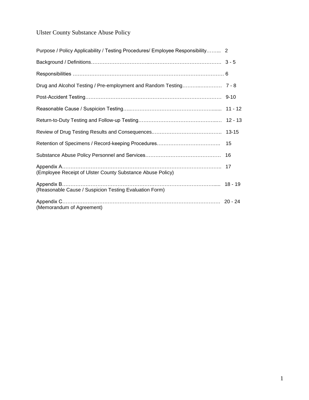### Ulster County Substance Abuse Policy

| Purpose / Policy Applicability / Testing Procedures/ Employee Responsibility 2 |           |
|--------------------------------------------------------------------------------|-----------|
|                                                                                |           |
|                                                                                |           |
|                                                                                |           |
|                                                                                | $9 - 10$  |
|                                                                                |           |
|                                                                                |           |
|                                                                                | $13 - 15$ |
|                                                                                | 15        |
|                                                                                | 16        |
| (Employee Receipt of Ulster County Substance Abuse Policy)                     |           |
| (Reasonable Cause / Suspicion Testing Evaluation Form)                         |           |
| (Memorandum of Agreement)                                                      |           |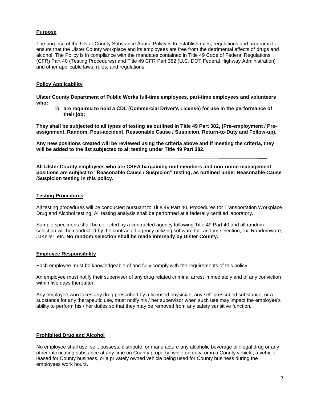#### **Purpose**

The purpose of the Ulster County Substance Abuse Policy is to establish rules, regulations and programs to ensure that the Ulster County workplace and its employees are free from the detrimental effects of drugs and alcohol. The Policy is in compliance with the mandates contained in Title 49 Code of Federal Regulations (CFR) Part 40 (Testing Procedures) and Title 49 CFR Part 382 (U.C. DOT Federal Highway Administration) and other applicable laws, rules, and regulations.

#### **Policy Applicability**

**Ulster County Department of Public Works full-time employees, part-time employees and volunteers who:**

**1) are required to hold a CDL (Commercial Driver's License) for use in the performance of their job;**

**They shall be subjected to all types of testing as outlined in Title 49 Part 382, (Pre-employment / Preassignment, Random, Post-accident, Reasonable Cause / Suspicion, Return-to-Duty and Follow-up).**

**Any new positions created will be reviewed using the criteria above and if meeting the criteria, they will be added to the list subjected to all testing under Title 49 Part 382.**

**All Ulster County employees who are CSEA bargaining unit members and non-union management positions are subject to "Reasonable Cause / Suspicion" testing, as outlined under Reasonable Cause /Suspicion testing in this policy.**

#### **Testing Procedures**

All testing procedures will be conducted pursuant to Title 49 Part 40, Procedures for Transportation Workplace Drug and Alcohol testing. All testing analysis shall be performed at a federally certified laboratory.

Sample specimens shall be collected by a contracted agency following Title 49 Part 40 and all random selection will be conducted by the contracted agency utilizing software for random selection, ex. Randomware, JJKeller, etc. **No random selection shall be made internally by Ulster County.**

#### **Employee Responsibility**

Each employee must be knowledgeable of and fully comply with the requirements of this policy.

An employee must notify their supervisor of any drug related criminal arrest immediately and of any conviction within five days thereafter.

Any employee who takes any drug prescribed by a licensed physician, any self-prescribed substance, or a substance for any therapeutic use, must notify his / her supervisor when such use may impact the employee's ability to perform his / her duties so that they may be removed from any safety sensitive function.

#### **Prohibited Drug and Alcohol**

No employee shall use, sell, possess, distribute, or manufacture any alcoholic beverage or illegal drug or any other intoxicating substance at any time on County property, while on duty; or in a County vehicle, a vehicle leased for County business, or a privately owned vehicle being used for County business during the employees work hours.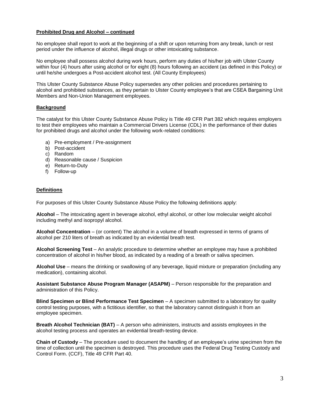#### **Prohibited Drug and Alcohol – continued**

No employee shall report to work at the beginning of a shift or upon returning from any break, lunch or rest period under the influence of alcohol, illegal drugs or other intoxicating substance.

No employee shall possess alcohol during work hours, perform any duties of his/her job with Ulster County within four (4) hours after using alcohol or for eight (8) hours following an accident (as defined in this Policy) or until he/she undergoes a Post-accident alcohol test. (All County Employees)

This Ulster County Substance Abuse Policy supersedes any other policies and procedures pertaining to alcohol and prohibited substances, as they pertain to Ulster County employee's that are CSEA Bargaining Unit Members and Non-Union Management employees.

#### **Background**

The catalyst for this Ulster County Substance Abuse Policy is Title 49 CFR Part 382 which requires employers to test their employees who maintain a Commercial Drivers License (CDL) in the performance of their duties for prohibited drugs and alcohol under the following work-related conditions:

- a) Pre-employment / Pre-assignment
- b) Post-accident
- c) Random
- d) Reasonable cause / Suspicion
- e) Return-to-Duty
- f) Follow-up

#### **Definitions**

For purposes of this Ulster County Substance Abuse Policy the following definitions apply:

**Alcohol** – The intoxicating agent in beverage alcohol, ethyl alcohol, or other low molecular weight alcohol including methyl and isopropyl alcohol.

**Alcohol Concentration** – (or content) The alcohol in a volume of breath expressed in terms of grams of alcohol per 210 liters of breath as indicated by an evidential breath test.

**Alcohol Screening Test** – An analytic procedure to determine whether an employee may have a prohibited concentration of alcohol in his/her blood, as indicated by a reading of a breath or saliva specimen.

**Alcohol Use** – means the drinking or swallowing of any beverage, liquid mixture or preparation (including any medication), containing alcohol.

**Assistant Substance Abuse Program Manager (ASAPM)** – Person responsible for the preparation and administration of this Policy.

**Blind Specimen or Blind Performance Test Specimen** – A specimen submitted to a laboratory for quality control testing purposes, with a fictitious identifier, so that the laboratory cannot distinguish it from an employee specimen.

**Breath Alcohol Technician (BAT)** – A person who administers, instructs and assists employees in the alcohol testing process and operates an evidential breath-testing device.

**Chain of Custody** – The procedure used to document the handling of an employee's urine specimen from the time of collection until the specimen is destroyed. This procedure uses the Federal Drug Testing Custody and Control Form. (CCF), Title 49 CFR Part 40.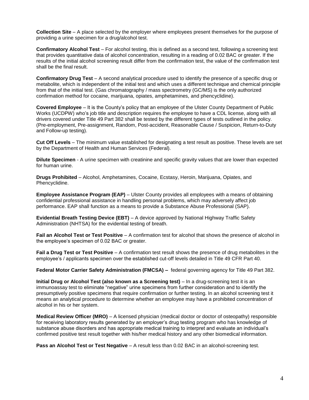**Collection Site** – A place selected by the employer where employees present themselves for the purpose of providing a urine specimen for a drug/alcohol test.

**Confirmatory Alcohol Test** – For alcohol testing, this is defined as a second test, following a screening test that provides quantitative data of alcohol concentration, resulting in a reading of 0.02 BAC or greater. If the results of the initial alcohol screening result differ from the confirmation test, the value of the confirmation test shall be the final result.

**Confirmatory Drug Test** – A second analytical procedure used to identify the presence of a specific drug or metabolite, which is independent of the initial test and which uses a different technique and chemical principle from that of the initial test. (Gas chromatography / mass spectrometry (GC/MS) is the only authorized confirmation method for cocaine, marijuana, opiates, amphetamines, and phencyclidine).

**Covered Employee** – It is the County's policy that an employee of the Ulster County Department of Public Works (UCDPW) who's job title and description requires the employee to have a CDL license, along with all drivers covered under Title 49 Part 382 shall be tested by the different types of tests outlined in the policy. (Pre-employment, Pre-assignment, Random, Post-accident, Reasonable Cause / Suspicion, Return-to-Duty and Follow-up testing).

**Cut Off Levels** – The minimum value established for designating a test result as positive. These levels are set by the Department of Health and Human Services (Federal).

**Dilute Specimen** - A urine specimen with creatinine and specific gravity values that are lower than expected for human urine.

**Drugs Prohibited** – Alcohol, Amphetamines, Cocaine, Ecstasy, Heroin, Marijuana, Opiates, and Phencyclidine.

**Employee Assistance Program (EAP)** – Ulster County provides all employees with a means of obtaining confidential professional assistance in handling personal problems, which may adversely affect job performance. EAP shall function as a means to provide a Substance Abuse Professional (SAP).

**Evidential Breath Testing Device (EBT)** – A device approved by National Highway Traffic Safety Administration (NHTSA) for the evidential testing of breath.

**Fail an Alcohol Test or Test Positive** – A confirmation test for alcohol that shows the presence of alcohol in the employee's specimen of 0.02 BAC or greater.

**Fail a Drug Test or Test Positive** – A confirmation test result shows the presence of drug metabolites in the employee's / applicants specimen over the established cut-off levels detailed in Title 49 CFR Part 40.

**Federal Motor Carrier Safety Administration (FMCSA) –** federal governing agency for Title 49 Part 382.

**Initial Drug or Alcohol Test (also known as a Screening test)** – In a drug-screening test it is an immunoassay test to eliminate "negative" urine specimens from further consideration and to identify the presumptively positive specimens that require confirmation or further testing. In an alcohol screening test it means an analytical procedure to determine whether an employee may have a prohibited concentration of alcohol in his or her system.

**Medical Review Officer (MRO)** – A licensed physician (medical doctor or doctor of osteopathy) responsible for receiving laboratory results generated by an employer's drug testing program who has knowledge of substance abuse disorders and has appropriate medical training to interpret and evaluate an individual's confirmed positive test result together with his/her medical history and any other biomedical information.

**Pass an Alcohol Test or Test Negative** – A result less than 0.02 BAC in an alcohol-screening test.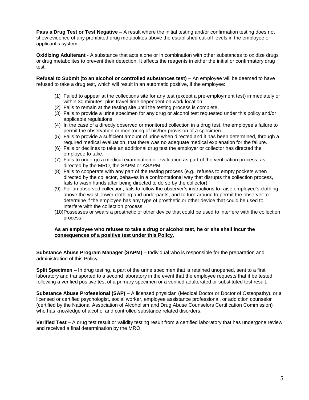**Pass a Drug Test or Test Negative** – A result where the initial testing and/or confirmation testing does not show evidence of any prohibited drug metabolites above the established cut-off levels in the employee or applicant's system.

**Oxidizing Adulterant** - A substance that acts alone or in combination with other substances to oxidize drugs or drug metabolites to prevent their detection. It affects the reagents in either the initial or confirmatory drug test.

**Refusal to Submit (to an alcohol or controlled substances test)** – An employee will be deemed to have refused to take a drug test, which will result in an automatic positive, if the employee:

- (1) Failed to appear at the collections site for any test (except a pre-employment test) immediately or within 30 minutes, plus travel time dependent on work location.
- (2) Fails to remain at the testing site until the testing process is complete.
- (3) Fails to provide a urine specimen for any drug or alcohol test requested under this policy and/or applicable regulations.
- (4) In the case of a directly observed or monitored collection in a drug test, the employee's failure to permit the observation or monitoring of his/her provision of a specimen.
- (5) Fails to provide a sufficient amount of urine when directed and it has been determined, through a required medical evaluation, that there was no adequate medical explanation for the failure.
- (6) Fails or declines to take an additional drug test the employer or collector has directed the employee to take.
- (7) Fails to undergo a medical examination or evaluation as part of the verification process, as directed by the MRO, the SAPM or ASAPM.
- (8) Fails to cooperate with any part of the testing process (e.g., refuses to empty pockets when directed by the collector, behaves in a confrontational way that disrupts the collection process, fails to wash hands after being directed to do so by the collector).
- (9) For an observed collection, fails to follow the observer's instructions to raise employee's clothing above the waist, lower clothing and underpants, and to turn around to permit the observer to determine if the employee has any type of prosthetic or other device that could be used to interfere with the collection process.
- (10)Possesses or wears a prosthetic or other device that could be used to interfere with the collection process.

#### **As an employee who refuses to take a drug or alcohol test, he or she shall incur the consequences of a positive test under this Policy.**

**Substance Abuse Program Manager (SAPM)** – Individual who is responsible for the preparation and administration of this Policy.

**Split Specimen** – In drug testing, a part of the urine specimen that is retained unopened, sent to a first laboratory and transported to a second laboratory in the event that the employee requests that it be tested following a verified positive test of a primary specimen or a verified adulterated or substituted test result.

**Substance Abuse Professional (SAP)** – A licensed physician (Medical Doctor or Doctor of Osteopathy), or a licensed or certified psychologist, social worker, employee assistance professional, or addiction counselor (certified by the National Association of Alcoholism and Drug Abuse Counselors Certification Commission) who has knowledge of alcohol and controlled substance related disorders.

**Verified Test** – A drug test result or validity testing result from a certified laboratory that has undergone review and received a final determination by the MRO.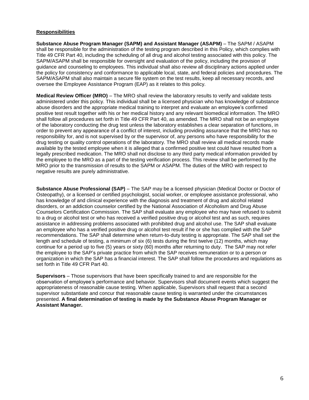#### **Responsibilities**

**Substance Abuse Program Manager (SAPM) and Assistant Manager (ASAPM)** – The SAPM / ASAPM shall be responsible for the administration of the testing program described in this Policy, which complies with Title 49 CFR Part 40, including the scheduling of all drug and alcohol testing associated with this policy. The SAPM/ASAPM shall be responsible for oversight and evaluation of the policy, including the provision of guidance and counseling to employees. This individual shall also review all disciplinary actions applied under the policy for consistency and conformance to applicable local, state, and federal policies and procedures. The SAPM/ASAPM shall also maintain a secure file system on the test results, keep all necessary records, and oversee the Employee Assistance Program (EAP) as it relates to this policy.

**Medical Review Officer (MRO)** – The MRO shall review the laboratory results to verify and validate tests administered under this policy. This individual shall be a licensed physician who has knowledge of substance abuse disorders and the appropriate medical training to interpret and evaluate an employee's confirmed positive test result together with his or her medical history and any relevant biomedical information. The MRO shall follow all procedures set forth in Title 49 CFR Part 40, as amended. The MRO shall not be an employee of the laboratory conducting the drug test unless the laboratory establishes a clear separation of functions, in order to prevent any appearance of a conflict of interest, including providing assurance that the MRO has no responsibility for, and is not supervised by or the supervisor of, any persons who have responsibility for the drug testing or quality control operations of the laboratory. The MRO shall review all medical records made available by the tested employee when it is alleged that a confirmed positive test could have resulted from a legally prescribed medication. The MRO shall not disclose to any third party medical information provided by the employee to the MRO as a part of the testing verification process. This review shall be performed by the MRO prior to the transmission of results to the SAPM or ASAPM. The duties of the MRO with respect to negative results are purely administrative.

**Substance Abuse Professional (SAP)** – The SAP may be a licensed physician (Medical Doctor or Doctor of Osteopathy), or a licensed or certified psychologist, social worker, or employee assistance professional, who has knowledge of and clinical experience with the diagnosis and treatment of drug and alcohol related disorders, or an addiction counselor certified by the National Association of Alcoholism and Drug Abuse Counselors Certification Commission. The SAP shall evaluate any employee who may have refused to submit to a drug or alcohol test or who has received a verified positive drug or alcohol test and as such, requires assistance in addressing problems associated with prohibited drug and alcohol use. The SAP shall evaluate an employee who has a verified positive drug or alcohol test result if he or she has complied with the SAP recommendations. The SAP shall determine when return-to-duty testing is appropriate. The SAP shall set the length and schedule of testing, a minimum of six (6) tests during the first twelve (12) months, which may continue for a period up to five (5) years or sixty (60) months after returning to duty. The SAP may not refer the employee to the SAP's private practice from which the SAP receives remuneration or to a person or organization in which the SAP has a financial interest. The SAP shall follow the procedures and regulations as set forth in Title 49 CFR Part 40.

**Supervisors** – Those supervisors that have been specifically trained to and are responsible for the observation of employee's performance and behavior. Supervisors shall document events which suggest the appropriateness of reasonable cause testing. When applicable, Supervisors shall request that a second supervisor substantiate and concur that reasonable cause testing is warranted under the circumstances presented. **A final determination of testing is made by the Substance Abuse Program Manager or Assistant Manager.**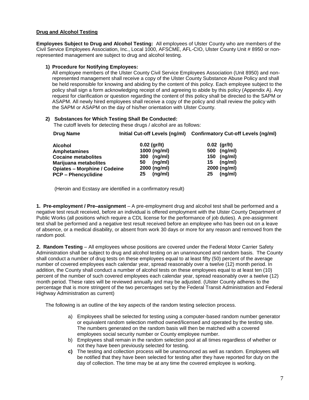#### **Drug and Alcohol Testing**

**Employees Subject to Drug and Alcohol Testing:** All employees of Ulster County who are members of the Civil Service Employees Association, Inc., Local 1000, AFSCME, AFL-CIO, Ulster County Unit # 8950 or nonrepresented management are subject to drug and alcohol testing.

#### **1) Procedure for Notifying Employees:**

All employee members of the Ulster County Civil Service Employees Association (Unit 8950) and nonrepresented management shall receive a copy of the Ulster County Substance Abuse Policy and shall be held responsible for knowing and abiding by the content of this policy. Each employee subject to the policy shall sign a form acknowledging receipt of and agreeing to abide by this policy (Appendix A). Any request for clarification or question regarding the content of this policy shall be directed to the SAPM or ASAPM. All newly hired employees shall receive a copy of the policy and shall review the policy with the SAPM or ASAPM on the day of his/her orientation with Ulster County.

#### **2) Substances for Which Testing Shall Be Conducted:**

The cutoff levels for detecting these drugs / alcohol are as follows:

| Drug Name                                                         | Initial Cut-off Levels (ng/ml)         | <b>Confirmatory Cut-off Levels (ng/ml)</b> |
|-------------------------------------------------------------------|----------------------------------------|--------------------------------------------|
| <b>Alcohol</b><br><b>Amphetamines</b>                             | $0.02$ (gr/lt)<br>1000 (ng/ml)         | $0.02$ (gr/lt)<br>(ng/ml)<br>500           |
| <b>Cocaine metabolites</b><br>Marijuana metabolites               | (ng/ml)<br><b>300</b><br>(ng/ml)<br>50 | (ng/ml)<br>150<br>(nq/ml)<br>15            |
| <b>Opiates - Morphine / Codeine</b><br><b>PCP - Phencyclidine</b> | 2000 (ng/ml)<br>(ng/ml)<br>25          | 2000 (ng/ml)<br>(ng/ml)<br>25              |

(Heroin and Ecstasy are identified in a confirmatory result)

**1. Pre-employment / Pre–assignment** – A pre-employment drug and alcohol test shall be performed and a negative test result received, before an individual is offered employment with the Ulster County Department of Public Works (all positions which require a CDL license for the performance of job duties). A pre-assignment test shall be performed and a negative test result received before an employee who has been out on a leave of absence, or a medical disability, or absent from work 30 days or more for any reason and removed from the random pool.

**2. Random Testing** – All employees whose positions are covered under the Federal Motor Carrier Safety Administration shall be subject to drug and alcohol testing on an unannounced and random basis. The County shall conduct a number of drug tests on these employees equal to at least fifty (50) percent of the average number of covered employees each calendar year, spread reasonably over a twelve (12) month period. In addition, the County shall conduct a number of alcohol tests on these employees equal to at least ten (10) percent of the number of such covered employees each calendar year, spread reasonably over a twelve (12) month period. These rates will be reviewed annually and may be adjusted. (Ulster County adheres to the percentage that is more stringent of the two percentages set by the Federal Transit Administration and Federal Highway Administration as current)

The following is an outline of the key aspects of the random testing selection process.

- a) Employees shall be selected for testing using a computer-based random number generator or equivalent random selection method owned/licensed and operated by the testing site. The numbers generated on the random basis will then be matched with a covered employees social security number or County employee number.
- b) Employees shall remain in the random selection pool at all times regardless of whether or not they have been previously selected for testing.
- **c)** The testing and collection process will be unannounced as well as random. Employees will be notified that they have been selected for testing after they have reported for duty on the day of collection. The time may be at any time the covered employee is working.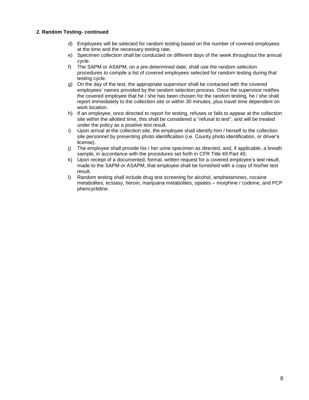#### **2. Random Testing- continued**

- d) Employees will be selected for random testing based on the number of covered employees at the time and the necessary testing rate.
- e) Specimen collection shall be conducted on different days of the week throughout the annual cycle.
- f) The SAPM or ASAPM, on a pre-determined date, shall use the random selection procedures to compile a list of covered employees selected for random testing during that testing cycle.
- g) On the day of the test, the appropriate supervisor shall be contacted with the covered employees' names provided by the random selection process. Once the supervisor notifies the covered employee that he / she has been chosen for the random testing, he / she shall report immediately to the collection site or within 30 minutes, plus travel time dependent on work location.
- h) If an employee, once directed to report for testing, refuses or fails to appear at the collection site within the allotted time, this shall be considered a "refusal to test", and will be treated under the policy as a positive test result.
- i) Upon arrival at the collection site, the employee shall identify him / herself to the collection site personnel by presenting photo identification (i.e. County photo identification, or driver's license).
- j) The employee shall provide his / her urine specimen as directed, and, if applicable, a breath sample, in accordance with the procedures set forth in CFR Title 49 Part 40.
- k) Upon receipt of a documented, formal, written request for a covered employee's test result, made to the SAPM or ASAPM, that employee shall be furnished with a copy of his/her test result.
- l) Random testing shall include drug test screening for alcohol, amphetamines, cocaine metabolites, ecstasy, heroin, marijuana metabolites, opiates – morphine / codeine, and PCP phencyclidine.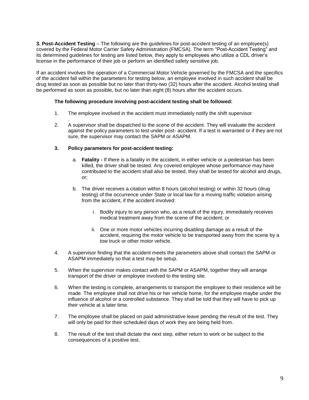**3. Post-Accident Testing** – The following are the guidelines for post-accident testing of an employee(s) covered by the Federal Motor Carrier Safety Administration (FMCSA). The term "Post-Accident Testing" and its determined guidelines for testing are listed below, they apply to employees who utilize a CDL driver's license in the performance of their job or perform an identified safety sensitive job.

If an accident involves the operation of a Commercial Motor Vehicle governed by the FMCSA and the specifics of the accident fall within the parameters for testing below, an employee involved in such accident shall be drug tested as soon as possible but no later than thirty-two (32) hours after the accident. Alcohol testing shall be performed as soon as possible, but no later than eight (8) hours after the accident occurs.

#### **The following procedure involving post-accident testing shall be followed:**

- 1. The employee involved in the accident must immediately notify the shift supervisor
- . 2. A supervisor shall be dispatched to the scene of the accident. They will evaluate the accident against the policy parameters to test under post- accident. If a test is warranted or if they are not sure, the supervisor may contact the SAPM or ASAPM.

#### **3. Policy parameters for post-accident testing:**

- a. **Fatality -** If there is a fatality in the accident, in either vehicle or a pedestrian has been killed, the driver shall be tested. Any covered employee whose performance may have contributed to the accident shall also be tested, they shall be tested for alcohol and drugs, or;
- b. The driver receives a citation within 8 hours (alcohol testing) or within 32 hours (drug testing) of the occurrence under State or local law for a moving traffic violation arising from the accident, if the accident involved:
	- i. Bodily injury to any person who, as a result of the injury, immediately receives medical treatment away from the scene of the accident; or
	- ii. One or more motor vehicles incurring disabling damage as a result of the accident, requiring the motor vehicle to be transported away from the scene by a tow truck or other motor vehicle.
- 4. A supervisor finding that the accident meets the parameters above shall contact the SAPM or ASAPM immediately so that a test may be setup.
- 5. When the supervisor makes contact with the SAPM or ASAPM, together they will arrange transport of the driver or employee involved to the testing site.
- 6. When the testing is complete, arrangements to transport the employee to their residence will be made. The employee shall not drive his or her vehicle home, for the employee maybe under the influence of alcohol or a controlled substance. They shall be told that they will have to pick up their vehicle at a later time.
- 7. The employee shall be placed on paid administrative leave pending the result of the test. They will only be paid for their scheduled days of work they are being held from.
- 8. The result of the test shall dictate the next step, either return to work or be subject to the consequences of a positive test.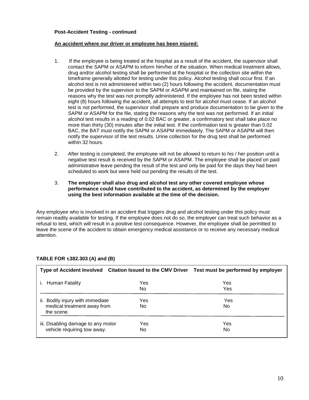#### **Post-Accident Testing - continued**

#### **An accident where our driver or employee has been injured:**

- 1. If the employee is being treated at the hospital as a result of the accident, the supervisor shall contact the SAPM or ASAPM to inform him/her of the situation. When medical treatment allows, drug and/or alcohol testing shall be performed at the hospital or the collection site within the timeframe generally allotted for testing under this policy. Alcohol testing shall occur first. If an alcohol test is not administered within two (2) hours following the accident, documentation must be provided by the supervisor to the SAPM or ASAPM and maintained on file, stating the reasons why the test was not promptly administered. If the employee has not been tested within eight (8) hours following the accident, all attempts to test for alcohol must cease. If an alcohol test is not performed, the supervisor shall prepare and produce documentation to be given to the SAPM or ASAPM for the file, stating the reasons why the test was not performed. If an initial alcohol test results in a reading of 0.02 BAC or greater, a confirmatory test shall take place no more than thirty (30) minutes after the initial test. If the confirmation test is greater than 0.02 BAC, the BAT must notify the SAPM or ASAPM immediately. The SAPM or ASAPM will then notify the supervisor of the test results. Urine collection for the drug test shall be performed within 32 hours.
- 2. After testing is completed, the employee will not be allowed to return to his / her position until a negative test result is received by the SAPM or ASAPM. The employee shall be placed on paid administrative leave pending the result of the test and only be paid for the days they had been scheduled to work but were held out pending the results of the test.
- 3. **The employer shall also drug and alcohol test any other covered employee whose performance could have contributed to the accident, as determined by the employer using the best information available at the time of the decision.**

Any employee who is involved in an accident that triggers drug and alcohol testing under this policy must remain readily available for testing. If the employee does not do so, the employer can treat such behavior as a refusal to test, which will result in a positive test consequence. However, the employee shall be permitted to leave the scene of the accident to obtain emergency medical assistance or to receive any necessary medical attention.

|                                                                                  |            | Type of Accident Involved Citation Issued to the CMV Driver Test must be performed by employer |
|----------------------------------------------------------------------------------|------------|------------------------------------------------------------------------------------------------|
| Human Fatality                                                                   | Yes<br>No. | Yes<br>Yes                                                                                     |
| Bodily injury with immediate<br>ii.<br>medical treatment away from<br>the scene. | Yes<br>No. | Yes<br>No.                                                                                     |
| iii. Disabling damage to any motor<br>vehicle requiring tow away.                | Yes<br>No. | Yes<br>No                                                                                      |

#### **TABLE FOR t382.303 (A) and (B)**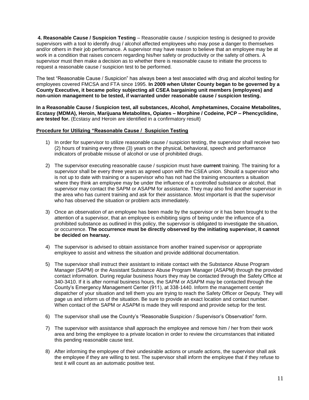**4. Reasonable Cause / Suspicion Testing** – Reasonable cause / suspicion testing is designed to provide supervisors with a tool to identify drug / alcohol affected employees who may pose a danger to themselves and/or others in their job performance. A supervisor may have reason to believe that an employee may be at work in a condition that raises concern regarding his/her safety or productivity or the safety of others. A supervisor must then make a decision as to whether there is reasonable cause to initiate the process to request a reasonable cause / suspicion test to be performed.

The test "Reasonable Cause / Suspicion" has always been a test associated with drug and alcohol testing for employees covered FMCSA and FTA since 1995. **In 2009 when Ulster County began to be governed by a County Executive, it became policy subjecting all CSEA bargaining unit members (employees) and non-union management to be tested, if warranted under reasonable cause / suspicion testing.**

**In a Reasonable Cause / Suspicion test, all substances, Alcohol, Amphetamines, Cocaine Metabolites, Ecstasy (MDMA), Heroin, Marijuana Metabolites, Opiates – Morphine / Codeine, PCP – Phencyclidine, are tested for.** (Ecstasy and Heroin are identified in a confirmatory result)

#### **Procedure for Utilizing "Reasonable Cause / Suspicion Testing**

- 1) In order for supervisor to utilize reasonable cause / suspicion testing, the supervisor shall receive two (2) hours of training every three (3) years on the physical, behavioral, speech and performance indicators of probable misuse of alcohol or use of prohibited drugs.
- 2) The supervisor executing reasonable cause / suspicion must have **current** training. The training for a supervisor shall be every three years as agreed upon with the CSEA union. Should a supervisor who is not up to date with training or a supervisor who has not had the training encounters a situation where they think an employee may be under the influence of a controlled substance or alcohol, that supervisor may contact the SAPM or ASAPM for assistance. They may also find another supervisor in the area who has current training and ask for their assistance. Most important is that the supervisor who has observed the situation or problem acts immediately.
- 3) Once an observation of an employee has been made by the supervisor or it has been brought to the attention of a supervisor, that an employee is exhibiting signs of being under the influence of a prohibited substance as outlined in this policy, the supervisor is obligated to investigate the situation, or occurrence. **The occurrence must be directly observed by the initiating supervisor, it cannot be decided on hearsay.**
- 4) The supervisor is advised to obtain assistance from another trained supervisor or appropriate employee to assist and witness the situation and provide additional documentation.
- 5) The supervisor shall instruct their assistant to initiate contact with the Substance Abuse Program Manager (SAPM) or the Assistant Substance Abuse Program Manager (ASAPM) through the provided contact information. During regular business hours they may be contacted through the Safety Office at 340-3410. If it is after normal business hours, the SAPM or ASAPM may be contacted through the County's Emergency Management Center (911), at 338-1440. Inform the management center dispatcher of your situation and tell them you are trying to reach the Safety Officer or Deputy. They will page us and inform us of the situation. Be sure to provide an exact location and contact number. When contact of the SAPM or ASAPM is made they will respond and provide setup for the test.
- 6) The supervisor shall use the County's "Reasonable Suspicion / Supervisor's Observation" form.
- 7) The supervisor with assistance shall approach the employee and remove him / her from their work area and bring the employee to a private location in order to review the circumstances that initiated this pending reasonable cause test.
- 8) After informing the employee of their undesirable actions or unsafe actions, the supervisor shall ask the employee if they are willing to test. The supervisor shall inform the employee that if they refuse to test it will count as an automatic positive test.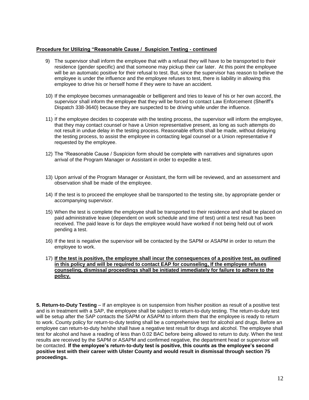#### **Procedure for Utilizing "Reasonable Cause / Suspicion Testing - continued**

- 9) The supervisor shall inform the employee that with a refusal they will have to be transported to their residence (gender specific) and that someone may pickup their car later. At this point the employee will be an automatic positive for their refusal to test. But, since the supervisor has reason to believe the employee is under the influence and the employee refuses to test, there is liability in allowing this employee to drive his or herself home if they were to have an accident.
- 10) If the employee becomes unmanageable or belligerent and tries to leave of his or her own accord, the supervisor shall inform the employee that they will be forced to contact Law Enforcement (Sheriff's Dispatch 338-3640) because they are suspected to be driving while under the influence.
- . 11) If the employee decides to cooperate with the testing process, the supervisor will inform the employee, that they may contact counsel or have a Union representative present, as long as such attempts do not result in undue delay in the testing process. Reasonable efforts shall be made, without delaying the testing process, to assist the employee in contacting legal counsel or a Union representative if requested by the employee.
- 12) The "Reasonable Cause / Suspicion form should be complete with narratives and signatures upon arrival of the Program Manager or Assistant in order to expedite a test.
- 13) Upon arrival of the Program Manager or Assistant, the form will be reviewed, and an assessment and observation shall be made of the employee.
- 14) If the test is to proceed the employee shall be transported to the testing site, by appropriate gender or accompanying supervisor.
- 15) When the test is complete the employee shall be transported to their residence and shall be placed on paid administrative leave (dependent on work schedule and time of test) until a test result has been received. The paid leave is for days the employee would have worked if not being held out of work pending a test.
- 16) If the test is negative the supervisor will be contacted by the SAPM or ASAPM in order to return the employee to work.
- 17) **If the test is positive, the employee shall incur the consequences of a positive test, as outlined in this policy and will be required to contact EAP for counseling, If the employee refuses counseling, dismissal proceedings shall be initiated immediately for failure to adhere to the policy.**

**5. Return-to-Duty Testing** – If an employee is on suspension from his/her position as result of a positive test and is in treatment with a SAP, the employee shall be subject to return-to-duty testing. The return-to-duty test will be setup after the SAP contacts the SAPM or ASAPM to inform them that the employee is ready to return to work. County policy for return-to-duty testing shall be a comprehensive test for alcohol and drugs. Before an employee can return-to-duty he/she shall have a negative test result for drugs and alcohol. The employee shall test for alcohol and have a reading of less than 0.02 BAC before being allowed to return to duty. When the test results are received by the SAPM or ASAPM and confirmed negative, the department head or supervisor will be contacted. **If the employee's return-to-duty test is positive, this counts as the employee's second positive test with their career with Ulster County and would result in dismissal through section 75 proceedings.**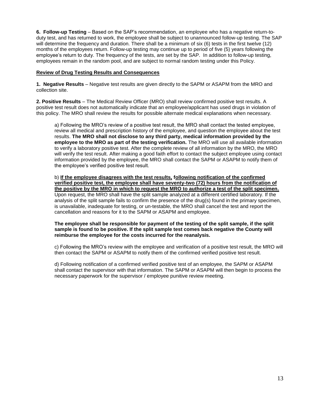**6. Follow-up Testing** – Based on the SAP's recommendation, an employee who has a negative return-toduty test, and has returned to work, the employee shall be subject to unannounced follow-up testing. The SAP will determine the frequency and duration. There shall be a minimum of six (6) tests in the first twelve (12) months of the employees return. Follow-up testing may continue up to period of five (5) years following the employee's return to duty. The frequency of the tests, are set by the SAP. In addition to follow-up testing, employees remain in the random pool, and are subject to normal random testing under this Policy.

#### **Review of Drug Testing Results and Consequences**

**1. Negative Results** – Negative test results are given directly to the SAPM or ASAPM from the MRO and collection site.

**2. Positive Results** – The Medical Review Officer (MRO) shall review confirmed positive test results. A positive test result does not automatically indicate that an employee/applicant has used drugs in violation of this policy. The MRO shall review the results for possible alternate medical explanations when necessary.

a) Following the MRO's review of a positive test result, the MRO shall contact the tested employee, review all medical and prescription history of the employee, and question the employee about the test results. **The MRO shall not disclose to any third party, medical information provided by the employee to the MRO as part of the testing verification.** The MRO will use all available information to verify a laboratory positive test. After the complete review of all information by the MRO, the MRO will verify the test result. After making a good faith effort to contact the subject employee using contact information provided by the employee, the MRO shall contact the SAPM or ASAPM to notify them of the employee's verified positive test result.

b) **If the employee disagrees with the test results, following notification of the confirmed verified positive test, the employee shall have seventy-two (72) hours from the notification of the positive by the MRO in which to request the MRO to authorize a test of the split specimen.** Upon request, the MRO shall have the split sample analyzed at a different certified laboratory. If the analysis of the split sample fails to confirm the presence of the drug(s) found in the primary specimen, is unavailable, inadequate for testing, or un-testable, the MRO shall cancel the test and report the cancellation and reasons for it to the SAPM or ASAPM and employee.

**The employee shall be responsible for payment of the testing of the split sample, if the split sample is found to be positive. If the split sample test comes back negative the County will reimburse the employee for the costs incurred for the reanalysis.**

c) Following the MRO's review with the employee and verification of a positive test result, the MRO will then contact the SAPM or ASAPM to notify them of the confirmed verified positive test result.

d) Following notification of a confirmed verified positive test of an employee, the SAPM or ASAPM shall contact the supervisor with that information. The SAPM or ASAPM will then begin to process the necessary paperwork for the supervisor / employee punitive review meeting.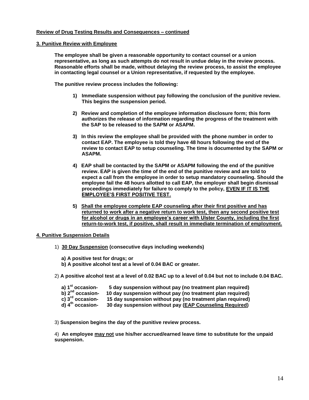#### **Review of Drug Testing Results and Consequences – continued**

#### **3. Punitive Review with Employee**

**The employee shall be given a reasonable opportunity to contact counsel or a union representative, as long as such attempts do not result in undue delay in the review process. Reasonable efforts shall be made, without delaying the review process, to assist the employee in contacting legal counsel or a Union representative, if requested by the employee.** 

**The punitive review process includes the following:**

- **1) Immediate suspension without pay following the conclusion of the punitive review. This begins the suspension period.**
- **2) Review and completion of the employee information disclosure form; this form authorizes the release of information regarding the progress of the treatment with the SAP to be released to the SAPM or ASAPM.**
- **3) In this review the employee shall be provided with the phone number in order to contact EAP. The employee is told they have 48 hours following the end of the review to contact EAP to setup counseling. The time is documented by the SAPM or ASAPM.**
- **4) EAP shall be contacted by the SAPM or ASAPM following the end of the punitive review. EAP is given the time of the end of the punitive review and are told to expect a call from the employee in order to setup mandatory counseling. Should the employee fail the 48 hours allotted to call EAP, the employer shall begin dismissal proceedings immediately for failure to comply to the policy, EVEN IF IT IS THE EMPLOYEE'S FIRST POSITIVE TEST.**
- **5) Shall the employee complete EAP counseling after their first positive and has returned to work after a negative return to work test, then any second positive test for alcohol or drugs in an employee's career with Ulster County, including the first return-to-work test, if positive, shall result in immediate termination of employment.**

#### **4. Punitive Suspension Details**

1) **30 Day Suspension (consecutive days including weekends)**

**a) A positive test for drugs; or**

- **b) A positive alcohol test at a level of 0.04 BAC or greater.**
- 2) **A positive alcohol test at a level of 0.02 BAC up to a level of 0.04 but not to include 0.04 BAC.**

| a) 1 <sup>st</sup> occasion-   | 5 day suspension without pay (no treatment plan required)  |
|--------------------------------|------------------------------------------------------------|
| b) $2^{nd}$ occasion-          | 10 day suspension without pay (no treatment plan required) |
| c) $3^{\text{rd}}$ occasion-   | 15 day suspension without pay (no treatment plan required) |
| $d)$ 4 <sup>th</sup> occasion- | 30 day suspension without pay (EAP Counseling Required)    |

3) **Suspension begins the day of the punitive review process.** 

4) **An employee may not use his/her accrued/earned leave time to substitute for the unpaid suspension.**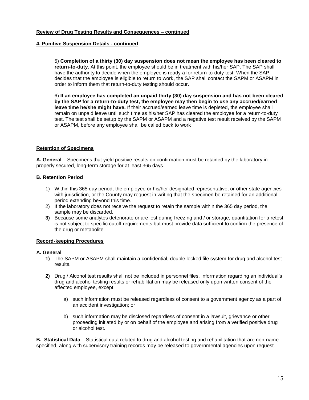#### **Review of Drug Testing Results and Consequences – continued**

#### **4. Punitive Suspension Details - continued**

5) **Completion of a thirty (30) day suspension does not mean the employee has been cleared to return-to-duty**. At this point, the employee should be in treatment with his/her SAP. The SAP shall have the authority to decide when the employee is ready a for return-to-duty test. When the SAP decides that the employee is eligible to return to work, the SAP shall contact the SAPM or ASAPM in order to inform them that return-to-duty testing should occur.

6) **If an employee has completed an unpaid thirty (30) day suspension and has not been cleared by the SAP for a return-to-duty test, the employee may then begin to use any accrued/earned leave time he/she might have.** If their accrued/earned leave time is depleted, the employee shall remain on unpaid leave until such time as his/her SAP has cleared the employee for a return-to-duty test. The test shall be setup by the SAPM or ASAPM and a negative test result received by the SAPM or ASAPM, before any employee shall be called back to work

#### **Retention of Specimens**

**A. General** – Specimens that yield positive results on confirmation must be retained by the laboratory in properly secured, long-term storage for at least 365 days.

#### **B. Retention Period**

- 1) Within this 365 day period, the employee or his/her designated representative, or other state agencies with jurisdiction, or the County may request in writing that the specimen be retained for an additional period extending beyond this time.
- 2) If the laboratory does not receive the request to retain the sample within the 365 day period, the sample may be discarded.
- **3)** Because some analytes deteriorate or are lost during freezing and / or storage, quantitation for a retest is not subject to specific cutoff requirements but must provide data sufficient to confirm the presence of the drug or metabolite.

#### **Record-keeping Procedures**

#### **A. General**

- **1)** The SAPM or ASAPM shall maintain a confidential, double locked file system for drug and alcohol test results.
- **2)** Drug / Alcohol test results shall not be included in personnel files. Information regarding an individual's drug and alcohol testing results or rehabilitation may be released only upon written consent of the affected employee, except:
	- a) such information must be released regardless of consent to a government agency as a part of an accident investigation; or
	- b) such information may be disclosed regardless of consent in a lawsuit, grievance or other proceeding initiated by or on behalf of the employee and arising from a verified positive drug or alcohol test.

**B. Statistical Data** – Statistical data related to drug and alcohol testing and rehabilitation that are non-name specified, along with supervisory training records may be released to governmental agencies upon request.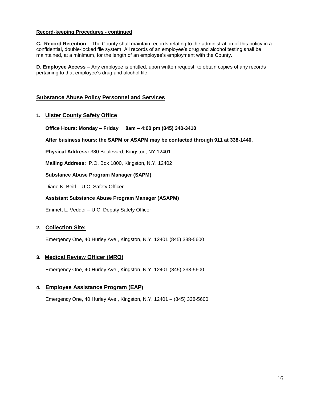#### **Record-keeping Procedures - continued**

**C. Record Retention** – The County shall maintain records relating to the administration of this policy in a confidential, double-locked file system. All records of an employee's drug and alcohol testing shall be maintained, at a minimum, for the length of an employee's employment with the County.

**D. Employee Access** – Any employee is entitled, upon written request, to obtain copies of any records pertaining to that employee's drug and alcohol file.

#### **Substance Abuse Policy Personnel and Services**

#### **1. Ulster County Safety Office**

**Office Hours: Monday – Friday 8am – 4:00 pm (845) 340-3410**

**After business hours: the SAPM or ASAPM may be contacted through 911 at 338-1440.**

**Physical Address:** 380 Boulevard, Kingston, NY,12401

**Mailing Address:** P.O. Box 1800, Kingston, N.Y. 12402

**Substance Abuse Program Manager (SAPM)**

Diane K. Beitl – U.C. Safety Officer

#### **Assistant Substance Abuse Program Manager (ASAPM)**

Emmett L. Vedder – U.C. Deputy Safety Officer

#### **2. Collection Site:**

Emergency One, 40 Hurley Ave., Kingston, N.Y. 12401 (845) 338-5600

#### **3. Medical Review Officer (MRO)**

Emergency One, 40 Hurley Ave., Kingston, N.Y. 12401 (845) 338-5600

#### **4. Employee Assistance Program (EAP)**

Emergency One, 40 Hurley Ave., Kingston, N.Y. 12401 – (845) 338-5600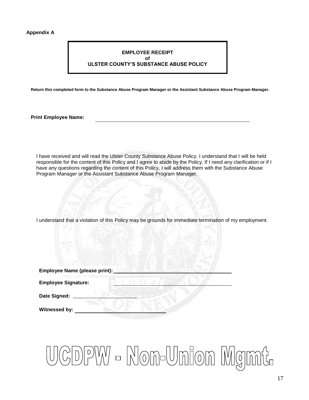#### **Appendix A**

#### **EMPLOYEE RECEIPT of ULSTER COUNTY'S SUBSTANCE ABUSE POLICY**

**Return this completed form to the Substance Abuse Program Manager or the Assistant Substance Abuse Program Manager.**

**Print Employee Name:**

I have received and will read the Ulster County Substance Abuse Policy. I understand that I will be held responsible for the content of this Policy and I agree to abide by the Policy. If I need any clarification or if I have any questions regarding the content of this Policy, I will address them with the Substance Abuse Program Manager or the Assistant Substance Abuse Program Manager.

I understand that a violation of this Policy may be grounds for immediate termination of my employment.

| Employee Name (please print): |  |
|-------------------------------|--|
| <b>Employee Signature:</b>    |  |
| Date Signed:                  |  |
| Witnessed by:                 |  |

## CDPW - Non-Union Mgmt.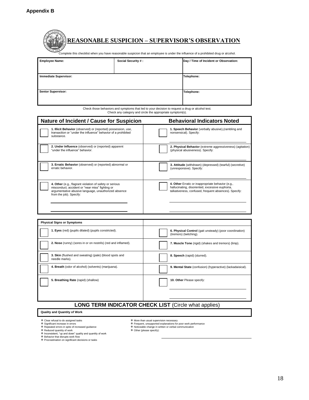|                       | <b>REASONABLE SUSPICION - SUPERVISOR'S OBSERVATION</b><br>Complete this checklist when you have reasonable suspicion that an employee is under the influence of a prohibited drug or alcohol. |                                        |
|-----------------------|-----------------------------------------------------------------------------------------------------------------------------------------------------------------------------------------------|----------------------------------------|
| <b>Employee Name:</b> | Social Security #:                                                                                                                                                                            | Day / Time of Incident or Observation: |

| Employee Name.               | SUCIAL SECUTILY #. | Day / Time of incluent or Observation. |
|------------------------------|--------------------|----------------------------------------|
|                              |                    |                                        |
| <b>Immediate Supervisor:</b> |                    | Telephone:                             |
|                              |                    |                                        |
|                              |                    |                                        |
| <b>Senior Supervisor:</b>    |                    | Telephone:                             |
|                              |                    |                                        |
|                              |                    |                                        |

Check those behaviors and symptoms that led to your decision to request a drug or alcohol test. Check any category and circle the appropriate symptom(s).

| <b>Nature of Incident / Cause for Suspicion</b>                                                                                                                                               | <b>Behavioral Indicators Noted</b>                                                                                                                            |
|-----------------------------------------------------------------------------------------------------------------------------------------------------------------------------------------------|---------------------------------------------------------------------------------------------------------------------------------------------------------------|
| 1. Illicit Behavior (observed) or (reported) possession, use,<br>transaction or "under the influence" behavior of a prohibited<br>substance.                                                  | 1. Speech Behavior (verbally abusive), (rambling and<br>nonsensical). Specify:                                                                                |
| 2. Under Influence (observed) or (reported) apparent<br>"under the influence" behavior.                                                                                                       | 2. Physical Behavior (extreme aggressiveness) (agitation)<br>(physical abusiveness). Specify:                                                                 |
| 3. Erratic Behavior (observed) or (reported) abnormal or<br>erratic behavior                                                                                                                  | 3. Attitude (withdrawn) (depressed) (tearful) (secretive)<br>(unresponsive). Specify:                                                                         |
| 4. Other (e.g., flagrant violation of safety or serious<br>misconduct, accident or "near miss" fighting or<br>argumentative abusive language, unauthorized absence<br>from the job). Specify: | 4. Other Erratic or inappropriate behavior (e.g.,<br>hallucinating, disoriented, excessive euphoria,<br>talkativeness, confused, frequent absences). Specify: |

| <b>Physical Signs or Symptoms</b>                                        |                                                                                   |  |  |
|--------------------------------------------------------------------------|-----------------------------------------------------------------------------------|--|--|
| 1. Eyes (red) (pupils dilated) (pupils constricted).                     | 6. Physical Control (gait unsteady) (poor coordination)<br>(tremors) (twitching). |  |  |
| 2. Nose (runny) (sores in or on nostrils) (red and inflamed).            | 7. Muscle Tone (rigid) (shakes and tremors) (limp).                               |  |  |
| 3. Skin (flushed and sweating) (pale) (blood spots and<br>needle marks). | 8. Speech (rapid) (slurred).                                                      |  |  |
| 4. Breath (odor of alcohol) (solvents) (marijuana).                      | 9. Mental State (confusion) (hyperactive) (lackadaisical).                        |  |  |
| 5. Breathing Rate (rapid) (shallow)                                      | 10. Other Please specify:                                                         |  |  |
| $AIO$ TEDM INDICATOD CUECK LICT $(Ciala)$ what applical                  |                                                                                   |  |  |

#### **LONG TERM INDICATOR CHECK LIST** (Circle what applies)

#### **Quality and Quantity of Work**

- 孝 Clear refusal to do assigned tasks<br>\* Significant increase in errors<br>\* Repeated errors in spite of increased guidance<br>\* Reduced quantity of work<br>\* Inconsistent, "up and down" quality and quantity of work<br>\* Pehavior that
- 

- 
- More than usual supervision necessary
- Frequent, unsupported explanations for poor work performance Noticeable change in written or verbal communication Other (please specify):
-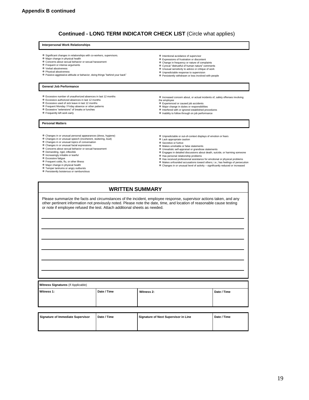#### **Continued - LONG TERM INDICATOR CHECK LIST** (Circle what applies)

#### **Interpersonal Work Relationships**

- Significant changes in relationships with co-workers, supervisors. Major change in physical health
- 
- Concerns about sexual behavior or sexual harassment
- Frequent or intense arguments Verbal abusiveness
- 
- Physical abusiveness Passive-aggressive attitude or behavior, doing things "behind your back"

#### **General Job Performance**

- Excessive number of unauthorized absences in last 12 months
- Excessive authorized absences in last 12 months
- Excessive used of sick leave in last 12 months Frequent Monday / Friday absence or other patterns Excessive "extensions" of breaks or lunches
- 
- Frequently left work early
- 
- Increased concern about, or actual incidents of, safety offenses involving
- the employee

**※ Intentional avoidance of supervisor**  Expressions of frustration or discontent Change in frequency or nature of complaints Cynical "distrustful of human nature" comments Unusual sensitivity to advice or critique of work Unpredictable response to supervision Persistently withdrawn or less involved with people

- Experienced or caused job accidents Major change in duties or responsibilities
- 

- **Personal Matters**
- Changes in or unusual personal appearances (dress, hygiene) Changes in or unusual speech (incoherent, stuttering, loud)
- 
- Changes in or unusual topics of conversation Changes in or unusual facial expressions
- Concerns about sexual behavior or sexual harassment
- Demanding, rigid, inflexible Increasingly irritable or tearful
- 
- 
- Excessive fatigue Frequent colds, flu, or other illness
- 
- Major change in physical health Temper tantrums or angry outbursts Persistently boisterous or rambunctious
- Interfered with or ignored established procedures Inability to follow through on job performance
- Unpredictable or out-of-context displays of emotion or fears
- Lack appropriate caution
- Secretive or furtive Makes unreliable or false statements
- Unrealistic self-appraisal or grandiose statements
- Engages in detailed discussions about death, suicide, or harming someone
- 举 Has personal relationship problems<br>举 Has received professional assistance for emotional or physical problems
- Makes unfounded accusations toward others; i.e.; has feelings of persecution
- \* mance amounted acceduring to factivity significantly reduced or increased ★ Changes in or unusual level of activity significantly reduced or increased
- **WRITTEN SUMMARY**

Please summarize the facts and circumstances of the incident, employee response, supervisor actions taken, and any other pertinent information not previously noted. Please note the date, time, and location of reasonable cause testing or note if employee refused the test. Attach additional sheets as needed.

| Witness Signatures (If Applicable) |             |            |             |  |
|------------------------------------|-------------|------------|-------------|--|
| Witness 1:                         | Date / Time | Witness 2: | Date / Time |  |

| Signature of Immediate Supervisor | Date / Time | Signature of Next Supervisor in Line | Date / Time |
|-----------------------------------|-------------|--------------------------------------|-------------|
|                                   |             |                                      |             |
|                                   |             |                                      |             |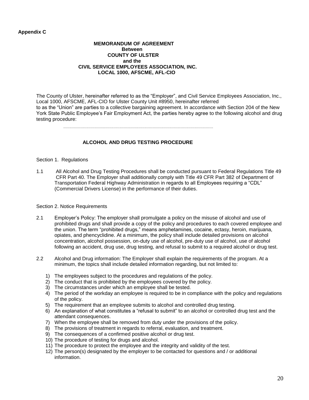#### **Appendix C**

#### **MEMORANDUM OF AGREEMENT Between COUNTY OF ULSTER and the CIVIL SERVICE EMPLOYEES ASSOCIATION, INC. LOCAL 1000, AFSCME, AFL-CIO**

The County of Ulster, hereinafter referred to as the "Employer", and Civil Service Employees Association, Inc., Local 1000, AFSCME, AFL-CIO for Ulster County Unit #8950, hereinafter referred to as the "Union" are parties to a collective bargaining agreement. In accordance with Section 204 of the New York State Public Employee's Fair Employment Act, the parties hereby agree to the following alcohol and drug testing procedure:

#### **ALCOHOL AND DRUG TESTING PROCEDURE**

#### Section 1. Regulations

1.1 All Alcohol and Drug Testing Procedures shall be conducted pursuant to Federal Regulations Title 49 CFR Part 40. The Employer shall additionally comply with Title 49 CFR Part 382 of Department of Transportation Federal Highway Administration in regards to all Employees requiring a "CDL" (Commercial Drivers License) in the performance of their duties.

#### Section 2. Notice Requirements

- 2.1 Employer's Policy: The employer shall promulgate a policy on the misuse of alcohol and use of prohibited drugs and shall provide a copy of the policy and procedures to each covered employee and the union. The term "prohibited drugs," means amphetamines, cocaine, ectasy, heroin, marijuana, opiates, and phencyclidine. At a minimum, the policy shall include detailed provisions on alcohol concentration, alcohol possession, on-duty use of alcohol, pre-duty use of alcohol, use of alcohol following an accident, drug use, drug testing, and refusal to submit to a required alcohol or drug test.
- 2.2 Alcohol and Drug information: The Employer shall explain the requirements of the program. At a minimum, the topics shall include detailed information regarding, but not limited to:
	- 1) The employees subject to the procedures and regulations of the policy.
	- 2) The conduct that is prohibited by the employees covered by the policy.
	- 3) The circumstances under which an employee shall be tested.
	- 4) The period of the workday an employee is required to be in compliance with the policy and regulations of the policy.
	- 5) The requirement that an employee submits to alcohol and controlled drug testing.
	- 6) An explanation of what constitutes a "refusal to submit" to an alcohol or controlled drug test and the attendant consequences.
	- 7) When the employee shall be removed from duty under the provisions of the policy.
	- 8) The provisions of treatment in regards to referral, evaluation, and treatment.
	- 9) The consequences of a confirmed positive alcohol or drug test.
	- 10) The procedure of testing for drugs and alcohol.
	- 11) The procedure to protect the employee and the integrity and validity of the test.
	- 12) The person(s) designated by the employer to be contacted for questions and / or additional information.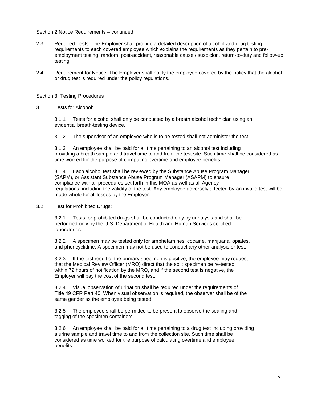#### Section 2 Notice Requirements – continued

- 2.3 Required Tests: The Employer shall provide a detailed description of alcohol and drug testing requirements to each covered employee which explains the requirements as they pertain to preemployment testing, random, post-accident, reasonable cause / suspicion, return-to-duty and follow-up testing.
- 2.4 Requirement for Notice: The Employer shall notify the employee covered by the policy that the alcohol or drug test is required under the policy regulations.

#### Section 3. Testing Procedures

3.1 Tests for Alcohol:

3.1.1 Tests for alcohol shall only be conducted by a breath alcohol technician using an evidential breath-testing device.

3.1.2 The supervisor of an employee who is to be tested shall not administer the test.

3.1.3 An employee shall be paid for all time pertaining to an alcohol test including providing a breath sample and travel time to and from the test site. Such time shall be considered as time worked for the purpose of computing overtime and employee benefits.

3.1.4 Each alcohol test shall be reviewed by the Substance Abuse Program Manager (SAPM), or Assistant Substance Abuse Program Manager (ASAPM) to ensure compliance with all procedures set forth in this MOA as well as all Agency regulations, including the validity of the test. Any employee adversely affected by an invalid test will be made whole for all losses by the Employer.

3.2 Test for Prohibited Drugs:

3.2.1 Tests for prohibited drugs shall be conducted only by urinalysis and shall be performed only by the U.S. Department of Health and Human Services certified laboratories.

3.2.2 A specimen may be tested only for amphetamines, cocaine, marijuana, opiates, and phencyclidine. A specimen may not be used to conduct any other analysis or test.

3.2.3 If the test result of the primary specimen is positive, the employee may request that the Medical Review Officer (MRO) direct that the split specimen be re-tested within 72 hours of notification by the MRO, and if the second test is negative, the Employer will pay the cost of the second test.

3.2.4 Visual observation of urination shall be required under the requirements of Title 49 CFR Part 40. When visual observation is required, the observer shall be of the same gender as the employee being tested.

3.2.5 The employee shall be permitted to be present to observe the sealing and tagging of the specimen containers.

3.2.6 An employee shall be paid for all time pertaining to a drug test including providing a urine sample and travel time to and from the collection site. Such time shall be considered as time worked for the purpose of calculating overtime and employee benefits.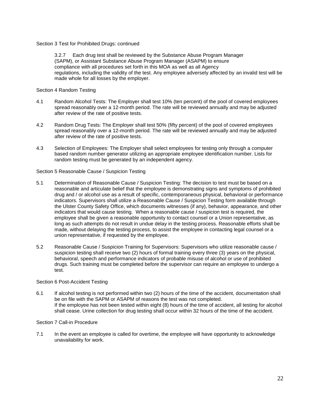Section 3 Test for Prohibited Drugs: continued

3.2.7 Each drug test shall be reviewed by the Substance Abuse Program Manager (SAPM), or Assistant Substance Abuse Program Manager (ASAPM) to ensure compliance with all procedures set forth in this MOA as well as all Agency regulations, including the validity of the test. Any employee adversely affected by an invalid test will be made whole for all losses by the employer.

Section 4 Random Testing

- 4.1 Random Alcohol Tests: The Employer shall test 10% (ten percent) of the pool of covered employees spread reasonably over a 12-month period. The rate will be reviewed annually and may be adjusted after review of the rate of positive tests.
- 4.2 Random Drug Tests: The Employer shall test 50% (fifty percent) of the pool of covered employees spread reasonably over a 12-month period. The rate will be reviewed annually and may be adjusted after review of the rate of positive tests.
- 4.3 Selection of Employees: The Employer shall select employees for testing only through a computer based random number generator utilizing an appropriate employee identification number. Lists for random testing must be generated by an independent agency.

Section 5 Reasonable Cause / Suspicion Testing

- 5.1 Determination of Reasonable Cause / Suspicion Testing: The decision to test must be based on a reasonable and articulate belief that the employee is demonstrating signs and symptoms of prohibited drug and / or alcohol use as a result of specific, contemporaneous physical, behavioral or performance indicators. Supervisors shall utilize a Reasonable Cause / Suspicion Testing form available through the Ulster County Safety Office, which documents witnesses (if any), behavior, appearance, and other indicators that would cause testing. When a reasonable cause / suspicion test is required, the employee shall be given a reasonable opportunity to contact counsel or a Union representative, as long as such attempts do not result in undue delay in the testing process. Reasonable efforts shall be made, without delaying the testing process, to assist the employee in contacting legal counsel or a union representative, if requested by the employee.
- 5.2 Reasonable Cause / Suspicion Training for Supervisors: Supervisors who utilize reasonable cause / suspicion testing shall receive two (2) hours of formal training every three (3) years on the physical, behavioral, speech and performance indicators of probable misuse of alcohol or use of prohibited drugs. Such training must be completed before the supervisor can require an employee to undergo a test.

#### Section 6 Post-Accident Testing

6.1 If alcohol testing is not performed within two (2) hours of the time of the accident, documentation shall be on file with the SAPM or ASAPM of reasons the test was not completed. If the employee has not been tested within eight (8) hours of the time of accident, all testing for alcohol shall cease. Urine collection for drug testing shall occur within 32 hours of the time of the accident.

#### Section 7 Call-in Procedure

7.1 In the event an employee is called for overtime, the employee will have opportunity to acknowledge unavailability for work.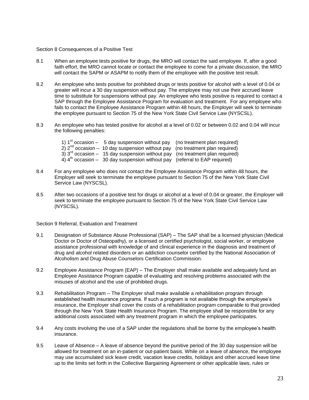#### Section 8 Consequences of a Positive Test

- 8.1 When an employee tests positive for drugs, the MRO will contact the said employee. If, after a good faith effort, the MRO cannot locate or contact the employee to come for a private discussion, the MRO will contact the SAPM or ASAPM to notify them of the employee with the positive test result.
- 8.2 An employee who tests positive for prohibited drugs or tests positive for alcohol with a level of 0.04 or greater will incur a 30 day suspension without pay. The employee may not use their accrued leave time to substitute for suspensions without pay. An employee who tests positive is required to contact a SAP through the Employee Assistance Program for evaluation and treatment. For any employee who fails to contact the Employee Assistance Program within 48 hours, the Employer will seek to terminate the employee pursuant to Section 75 of the New York State Civil Service Law (NYSCSL).
- 8.3 An employee who has tested positive for alcohol at a level of 0.02 or between 0.02 and 0.04 will incur the following penalties:
	- 1)  $1<sup>st</sup>$  occasion 5 day suspension without pay (no treatment plan required)
	- $2)$   $2<sup>nd</sup>$  occasion 10 day suspension without pay (no treatment plan required)
	- $3)$   $3<sup>rd</sup>$  occasion 15 day suspension without pay (no treatment plan required)
	- $4)$   $4<sup>th</sup>$  occasion 30 day suspension without pay (referral to EAP required)
- 8.4 For any employee who does not contact the Employee Assistance Program within 48 hours, the Employer will seek to terminate the employee pursuant to Section 75 of the New York State Civil Service Law (NYSCSL).
- 8.5 After two occasions of a positive test for drugs or alcohol at a level of 0.04 or greater, the Employer will seek to terminate the employee pursuant to Section 75 of the New York State Civil Service Law (NYSCSL).

Section 9 Referral, Evaluation and Treatment

- 9.1 Designation of Substance Abuse Professional (SAP) The SAP shall be a licensed physician (Medical Doctor or Doctor of Osteopathy), or a licensed or certified psychologist, social worker, or employee assistance professional with knowledge of and clinical experience in the diagnosis and treatment of drug and alcohol related disorders or an addiction counselor certified by the National Association of Alcoholism and Drug Abuse Counselors Certification Commission.
- 9.2 Employee Assistance Program (EAP) The Employer shall make available and adequately fund an Employee Assistance Program capable of evaluating and resolving problems associated with the misuses of alcohol and the use of prohibited drugs.
- 9.3 Rehabilitation Program The Employer shall make available a rehabilitation program through established health insurance programs. If such a program is not available through the employee's insurance, the Employer shall cover the costs of a rehabilitation program comparable to that provided through the New York State Health Insurance Program. The employee shall be responsible for any additional costs associated with any treatment program in which the employee participates.
- 9.4 Any costs involving the use of a SAP under the regulations shall be borne by the employee's health insurance.
- 9.5 Leave of Absence A leave of absence beyond the punitive period of the 30 day suspension will be allowed for treatment on an in-patient or out-patient basis. While on a leave of absence, the employee may use accumulated sick leave credit, vacation leave credits, holidays and other accrued leave time up to the limits set forth in the Collective Bargaining Agreement or other applicable laws, rules or